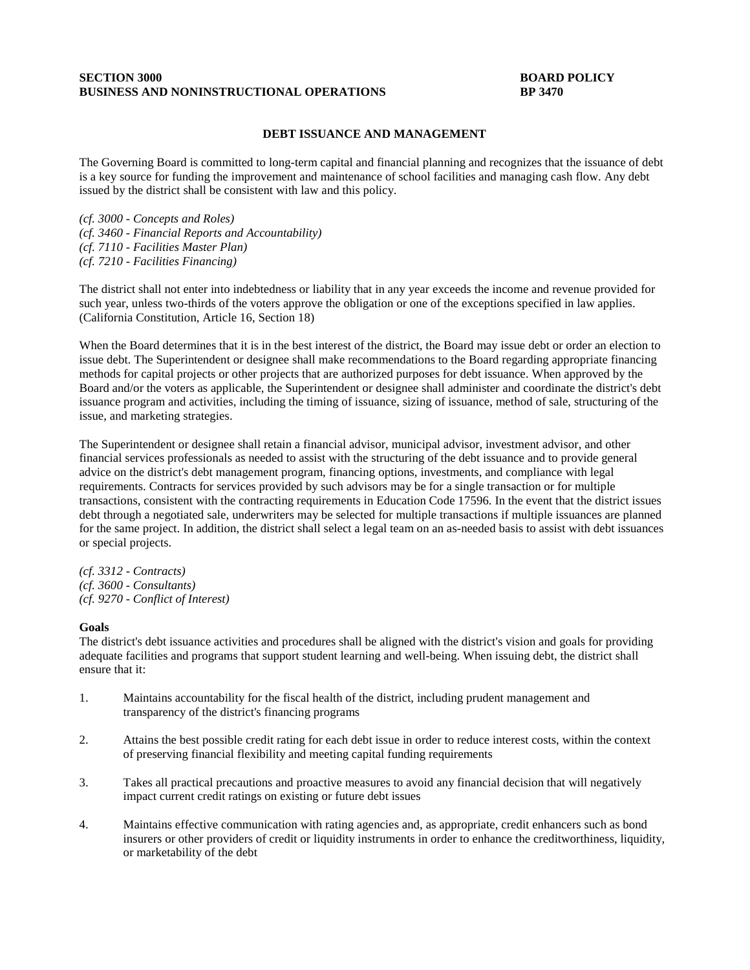## **SECTION 3000 BOARD POLICY BUSINESS AND NONINSTRUCTIONAL OPERATIONS BP 3470**

## **DEBT ISSUANCE AND MANAGEMENT**

The Governing Board is committed to long-term capital and financial planning and recognizes that the issuance of debt is a key source for funding the improvement and maintenance of school facilities and managing cash flow. Any debt issued by the district shall be consistent with law and this policy.

*(cf. 3000 - Concepts and Roles) (cf. 3460 - Financial Reports and Accountability) (cf. 7110 - Facilities Master Plan) (cf. 7210 - Facilities Financing)*

The district shall not enter into indebtedness or liability that in any year exceeds the income and revenue provided for such year, unless two-thirds of the voters approve the obligation or one of the exceptions specified in law applies. (California Constitution, Article 16, Section 18)

When the Board determines that it is in the best interest of the district, the Board may issue debt or order an election to issue debt. The Superintendent or designee shall make recommendations to the Board regarding appropriate financing methods for capital projects or other projects that are authorized purposes for debt issuance. When approved by the Board and/or the voters as applicable, the Superintendent or designee shall administer and coordinate the district's debt issuance program and activities, including the timing of issuance, sizing of issuance, method of sale, structuring of the issue, and marketing strategies.

The Superintendent or designee shall retain a financial advisor, municipal advisor, investment advisor, and other financial services professionals as needed to assist with the structuring of the debt issuance and to provide general advice on the district's debt management program, financing options, investments, and compliance with legal requirements. Contracts for services provided by such advisors may be for a single transaction or for multiple transactions, consistent with the contracting requirements in Education Code 17596. In the event that the district issues debt through a negotiated sale, underwriters may be selected for multiple transactions if multiple issuances are planned for the same project. In addition, the district shall select a legal team on an as-needed basis to assist with debt issuances or special projects.

*(cf. 3312 - Contracts) (cf. 3600 - Consultants) (cf. 9270 - Conflict of Interest)*

#### **Goals**

The district's debt issuance activities and procedures shall be aligned with the district's vision and goals for providing adequate facilities and programs that support student learning and well-being. When issuing debt, the district shall ensure that it:

- 1. Maintains accountability for the fiscal health of the district, including prudent management and transparency of the district's financing programs
- 2. Attains the best possible credit rating for each debt issue in order to reduce interest costs, within the context of preserving financial flexibility and meeting capital funding requirements
- 3. Takes all practical precautions and proactive measures to avoid any financial decision that will negatively impact current credit ratings on existing or future debt issues
- 4. Maintains effective communication with rating agencies and, as appropriate, credit enhancers such as bond insurers or other providers of credit or liquidity instruments in order to enhance the creditworthiness, liquidity, or marketability of the debt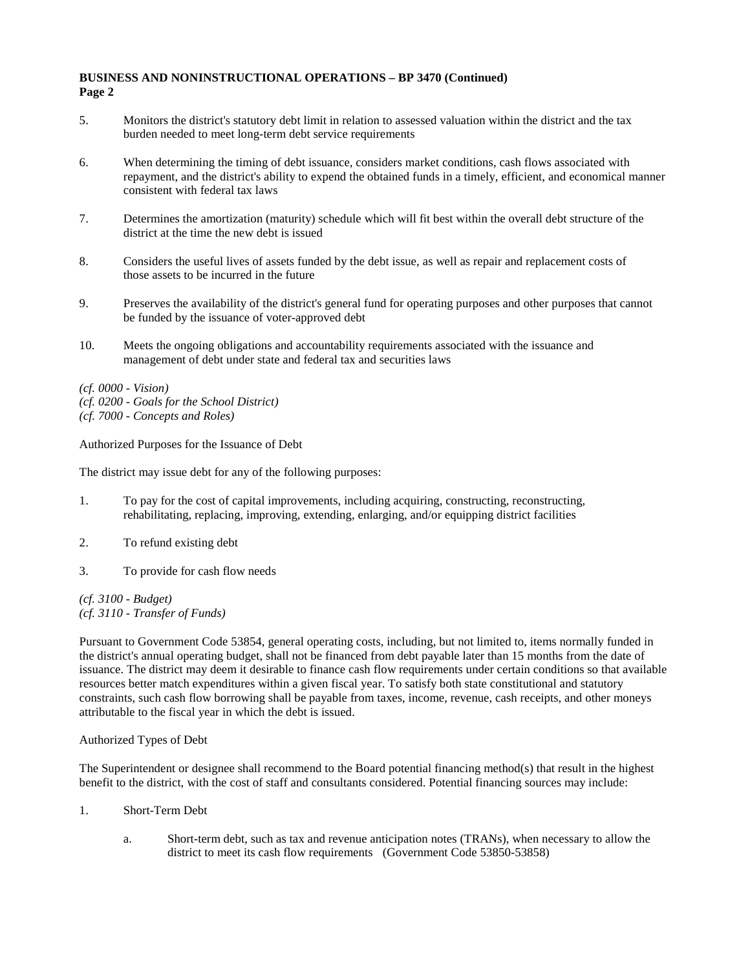- 5. Monitors the district's statutory debt limit in relation to assessed valuation within the district and the tax burden needed to meet long-term debt service requirements
- 6. When determining the timing of debt issuance, considers market conditions, cash flows associated with repayment, and the district's ability to expend the obtained funds in a timely, efficient, and economical manner consistent with federal tax laws
- 7. Determines the amortization (maturity) schedule which will fit best within the overall debt structure of the district at the time the new debt is issued
- 8. Considers the useful lives of assets funded by the debt issue, as well as repair and replacement costs of those assets to be incurred in the future
- 9. Preserves the availability of the district's general fund for operating purposes and other purposes that cannot be funded by the issuance of voter-approved debt
- 10. Meets the ongoing obligations and accountability requirements associated with the issuance and management of debt under state and federal tax and securities laws
- *(cf. 0000 - Vision)*
- *(cf. 0200 - Goals for the School District)*
- *(cf. 7000 - Concepts and Roles)*

Authorized Purposes for the Issuance of Debt

The district may issue debt for any of the following purposes:

- 1. To pay for the cost of capital improvements, including acquiring, constructing, reconstructing, rehabilitating, replacing, improving, extending, enlarging, and/or equipping district facilities
- 2. To refund existing debt
- 3. To provide for cash flow needs

*(cf. 3100 - Budget) (cf. 3110 - Transfer of Funds)*

Pursuant to Government Code 53854, general operating costs, including, but not limited to, items normally funded in the district's annual operating budget, shall not be financed from debt payable later than 15 months from the date of issuance. The district may deem it desirable to finance cash flow requirements under certain conditions so that available resources better match expenditures within a given fiscal year. To satisfy both state constitutional and statutory constraints, such cash flow borrowing shall be payable from taxes, income, revenue, cash receipts, and other moneys attributable to the fiscal year in which the debt is issued.

## Authorized Types of Debt

The Superintendent or designee shall recommend to the Board potential financing method(s) that result in the highest benefit to the district, with the cost of staff and consultants considered. Potential financing sources may include:

- 1. Short-Term Debt
	- a. Short-term debt, such as tax and revenue anticipation notes (TRANs), when necessary to allow the district to meet its cash flow requirements (Government Code 53850-53858)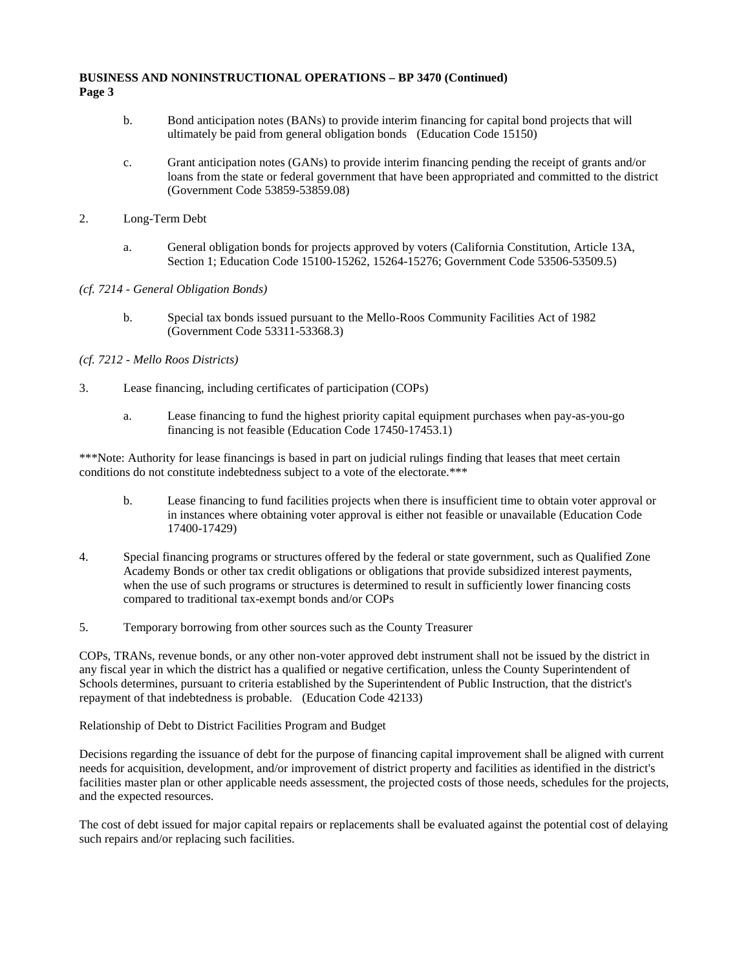- b. Bond anticipation notes (BANs) to provide interim financing for capital bond projects that will ultimately be paid from general obligation bonds (Education Code 15150)
- c. Grant anticipation notes (GANs) to provide interim financing pending the receipt of grants and/or loans from the state or federal government that have been appropriated and committed to the district (Government Code 53859-53859.08)
- 2. Long-Term Debt
	- a. General obligation bonds for projects approved by voters (California Constitution, Article 13A, Section 1; Education Code 15100-15262, 15264-15276; Government Code 53506-53509.5)
- *(cf. 7214 - General Obligation Bonds)*
	- b. Special tax bonds issued pursuant to the Mello-Roos Community Facilities Act of 1982 (Government Code 53311-53368.3)

# *(cf. 7212 - Mello Roos Districts)*

- 3. Lease financing, including certificates of participation (COPs)
	- a. Lease financing to fund the highest priority capital equipment purchases when pay-as-you-go financing is not feasible (Education Code 17450-17453.1)

\*\*\*Note: Authority for lease financings is based in part on judicial rulings finding that leases that meet certain conditions do not constitute indebtedness subject to a vote of the electorate.\*\*\*

- b. Lease financing to fund facilities projects when there is insufficient time to obtain voter approval or in instances where obtaining voter approval is either not feasible or unavailable (Education Code 17400-17429)
- 4. Special financing programs or structures offered by the federal or state government, such as Qualified Zone Academy Bonds or other tax credit obligations or obligations that provide subsidized interest payments, when the use of such programs or structures is determined to result in sufficiently lower financing costs compared to traditional tax-exempt bonds and/or COPs
- 5. Temporary borrowing from other sources such as the County Treasurer

COPs, TRANs, revenue bonds, or any other non-voter approved debt instrument shall not be issued by the district in any fiscal year in which the district has a qualified or negative certification, unless the County Superintendent of Schools determines, pursuant to criteria established by the Superintendent of Public Instruction, that the district's repayment of that indebtedness is probable. (Education Code 42133)

Relationship of Debt to District Facilities Program and Budget

Decisions regarding the issuance of debt for the purpose of financing capital improvement shall be aligned with current needs for acquisition, development, and/or improvement of district property and facilities as identified in the district's facilities master plan or other applicable needs assessment, the projected costs of those needs, schedules for the projects, and the expected resources.

The cost of debt issued for major capital repairs or replacements shall be evaluated against the potential cost of delaying such repairs and/or replacing such facilities.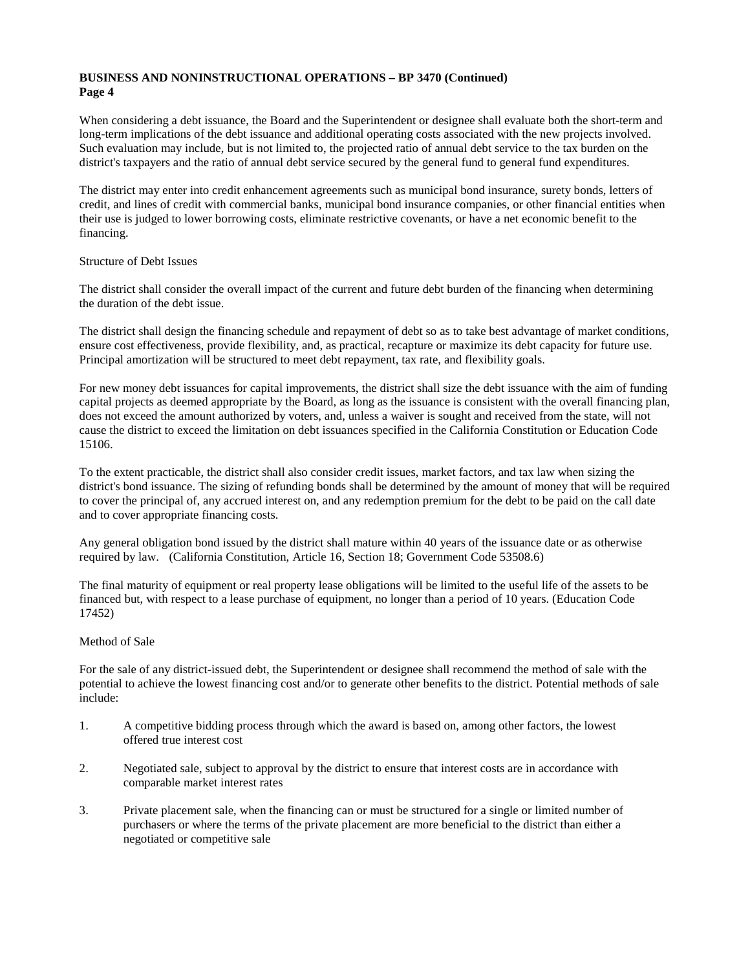When considering a debt issuance, the Board and the Superintendent or designee shall evaluate both the short-term and long-term implications of the debt issuance and additional operating costs associated with the new projects involved. Such evaluation may include, but is not limited to, the projected ratio of annual debt service to the tax burden on the district's taxpayers and the ratio of annual debt service secured by the general fund to general fund expenditures.

The district may enter into credit enhancement agreements such as municipal bond insurance, surety bonds, letters of credit, and lines of credit with commercial banks, municipal bond insurance companies, or other financial entities when their use is judged to lower borrowing costs, eliminate restrictive covenants, or have a net economic benefit to the financing.

## Structure of Debt Issues

The district shall consider the overall impact of the current and future debt burden of the financing when determining the duration of the debt issue.

The district shall design the financing schedule and repayment of debt so as to take best advantage of market conditions, ensure cost effectiveness, provide flexibility, and, as practical, recapture or maximize its debt capacity for future use. Principal amortization will be structured to meet debt repayment, tax rate, and flexibility goals.

For new money debt issuances for capital improvements, the district shall size the debt issuance with the aim of funding capital projects as deemed appropriate by the Board, as long as the issuance is consistent with the overall financing plan, does not exceed the amount authorized by voters, and, unless a waiver is sought and received from the state, will not cause the district to exceed the limitation on debt issuances specified in the California Constitution or Education Code 15106.

To the extent practicable, the district shall also consider credit issues, market factors, and tax law when sizing the district's bond issuance. The sizing of refunding bonds shall be determined by the amount of money that will be required to cover the principal of, any accrued interest on, and any redemption premium for the debt to be paid on the call date and to cover appropriate financing costs.

Any general obligation bond issued by the district shall mature within 40 years of the issuance date or as otherwise required by law. (California Constitution, Article 16, Section 18; Government Code 53508.6)

The final maturity of equipment or real property lease obligations will be limited to the useful life of the assets to be financed but, with respect to a lease purchase of equipment, no longer than a period of 10 years. (Education Code 17452)

#### Method of Sale

For the sale of any district-issued debt, the Superintendent or designee shall recommend the method of sale with the potential to achieve the lowest financing cost and/or to generate other benefits to the district. Potential methods of sale include:

- 1. A competitive bidding process through which the award is based on, among other factors, the lowest offered true interest cost
- 2. Negotiated sale, subject to approval by the district to ensure that interest costs are in accordance with comparable market interest rates
- 3. Private placement sale, when the financing can or must be structured for a single or limited number of purchasers or where the terms of the private placement are more beneficial to the district than either a negotiated or competitive sale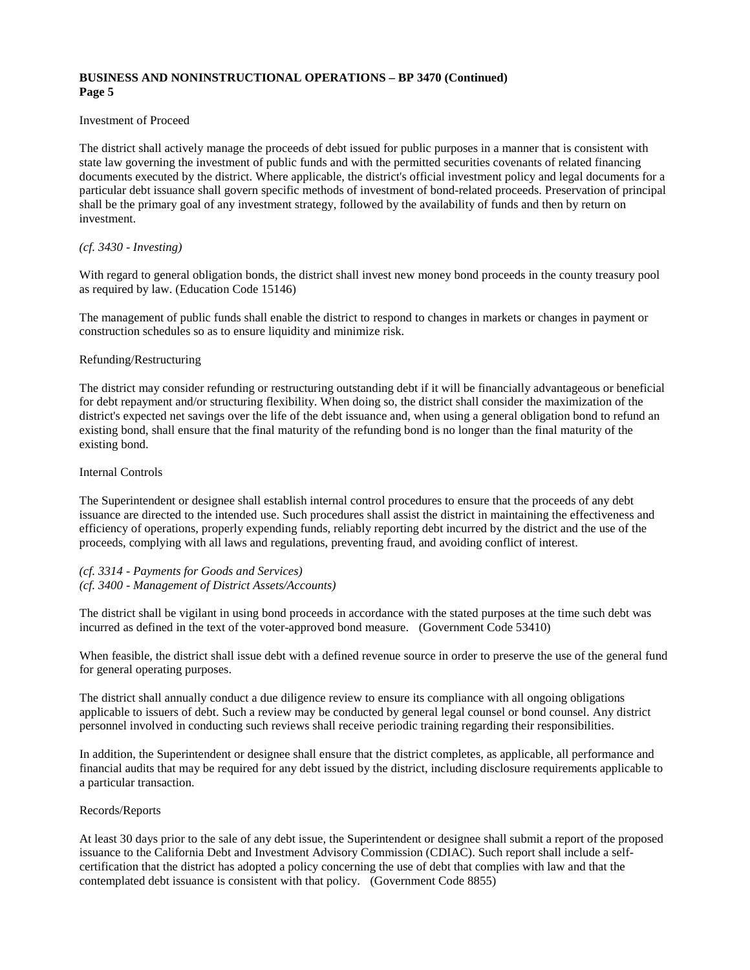#### Investment of Proceed

The district shall actively manage the proceeds of debt issued for public purposes in a manner that is consistent with state law governing the investment of public funds and with the permitted securities covenants of related financing documents executed by the district. Where applicable, the district's official investment policy and legal documents for a particular debt issuance shall govern specific methods of investment of bond-related proceeds. Preservation of principal shall be the primary goal of any investment strategy, followed by the availability of funds and then by return on investment.

### *(cf. 3430 - Investing)*

With regard to general obligation bonds, the district shall invest new money bond proceeds in the county treasury pool as required by law. (Education Code 15146)

The management of public funds shall enable the district to respond to changes in markets or changes in payment or construction schedules so as to ensure liquidity and minimize risk.

## Refunding/Restructuring

The district may consider refunding or restructuring outstanding debt if it will be financially advantageous or beneficial for debt repayment and/or structuring flexibility. When doing so, the district shall consider the maximization of the district's expected net savings over the life of the debt issuance and, when using a general obligation bond to refund an existing bond, shall ensure that the final maturity of the refunding bond is no longer than the final maturity of the existing bond.

### Internal Controls

The Superintendent or designee shall establish internal control procedures to ensure that the proceeds of any debt issuance are directed to the intended use. Such procedures shall assist the district in maintaining the effectiveness and efficiency of operations, properly expending funds, reliably reporting debt incurred by the district and the use of the proceeds, complying with all laws and regulations, preventing fraud, and avoiding conflict of interest.

## *(cf. 3314 - Payments for Goods and Services)*

## *(cf. 3400 - Management of District Assets/Accounts)*

The district shall be vigilant in using bond proceeds in accordance with the stated purposes at the time such debt was incurred as defined in the text of the voter-approved bond measure. (Government Code 53410)

When feasible, the district shall issue debt with a defined revenue source in order to preserve the use of the general fund for general operating purposes.

The district shall annually conduct a due diligence review to ensure its compliance with all ongoing obligations applicable to issuers of debt. Such a review may be conducted by general legal counsel or bond counsel. Any district personnel involved in conducting such reviews shall receive periodic training regarding their responsibilities.

In addition, the Superintendent or designee shall ensure that the district completes, as applicable, all performance and financial audits that may be required for any debt issued by the district, including disclosure requirements applicable to a particular transaction.

#### Records/Reports

At least 30 days prior to the sale of any debt issue, the Superintendent or designee shall submit a report of the proposed issuance to the California Debt and Investment Advisory Commission (CDIAC). Such report shall include a selfcertification that the district has adopted a policy concerning the use of debt that complies with law and that the contemplated debt issuance is consistent with that policy. (Government Code 8855)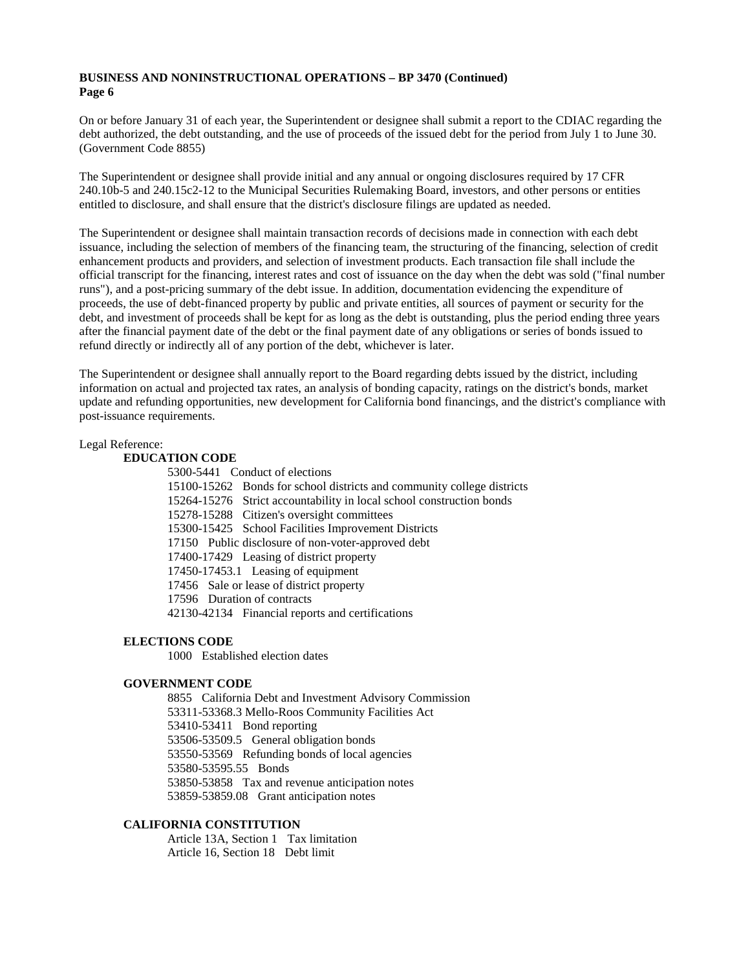On or before January 31 of each year, the Superintendent or designee shall submit a report to the CDIAC regarding the debt authorized, the debt outstanding, and the use of proceeds of the issued debt for the period from July 1 to June 30. (Government Code 8855)

The Superintendent or designee shall provide initial and any annual or ongoing disclosures required by 17 CFR 240.10b-5 and 240.15c2-12 to the Municipal Securities Rulemaking Board, investors, and other persons or entities entitled to disclosure, and shall ensure that the district's disclosure filings are updated as needed.

The Superintendent or designee shall maintain transaction records of decisions made in connection with each debt issuance, including the selection of members of the financing team, the structuring of the financing, selection of credit enhancement products and providers, and selection of investment products. Each transaction file shall include the official transcript for the financing, interest rates and cost of issuance on the day when the debt was sold ("final number runs"), and a post-pricing summary of the debt issue. In addition, documentation evidencing the expenditure of proceeds, the use of debt-financed property by public and private entities, all sources of payment or security for the debt, and investment of proceeds shall be kept for as long as the debt is outstanding, plus the period ending three years after the financial payment date of the debt or the final payment date of any obligations or series of bonds issued to refund directly or indirectly all of any portion of the debt, whichever is later.

The Superintendent or designee shall annually report to the Board regarding debts issued by the district, including information on actual and projected tax rates, an analysis of bonding capacity, ratings on the district's bonds, market update and refunding opportunities, new development for California bond financings, and the district's compliance with post-issuance requirements.

#### Legal Reference:

## **EDUCATION CODE**

| 5300-5441 Conduct of elections                                         |
|------------------------------------------------------------------------|
| 15100-15262 Bonds for school districts and community college districts |
| 15264-15276 Strict accountability in local school construction bonds   |
| 15278-15288 Citizen's oversight committees                             |
| 15300-15425 School Facilities Improvement Districts                    |
| 17150 Public disclosure of non-voter-approved debt                     |
| 17400-17429 Leasing of district property                               |
| 17450-17453.1 Leasing of equipment                                     |
| 17456 Sale or lease of district property                               |
| 17596 Duration of contracts                                            |
| 42130-42134 Financial reports and certifications                       |

## **ELECTIONS CODE**

1000 Established election dates

#### **GOVERNMENT CODE**

8855 California Debt and Investment Advisory Commission 53311-53368.3 Mello-Roos Community Facilities Act 53410-53411 Bond reporting 53506-53509.5 General obligation bonds 53550-53569 Refunding bonds of local agencies 53580-53595.55 Bonds 53850-53858 Tax and revenue anticipation notes 53859-53859.08 Grant anticipation notes

# **CALIFORNIA CONSTITUTION**

Article 13A, Section 1 Tax limitation Article 16, Section 18 Debt limit